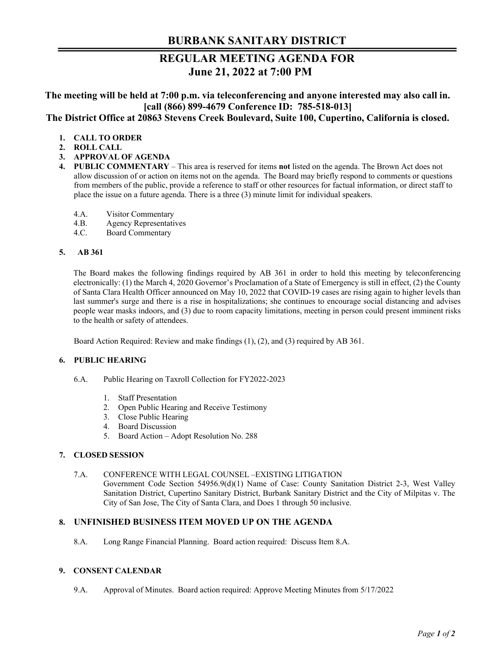# **BURBANK SANITARY DISTRICT**

# **REGULAR MEETING AGENDA FOR June 21, 2022 at 7:00 PM**

**The meeting will be held at 7:00 p.m. via teleconferencing and anyone interested may also call in. [call (866) 899-4679 Conference ID: 785-518-013]** 

**The District Office at 20863 Stevens Creek Boulevard, Suite 100, Cupertino, California is closed.** 

- **1. CALL TO ORDER**
- **2. ROLL CALL**
- **3. APPROVAL OF AGENDA**
- **4. PUBLIC COMMENTARY**  This area is reserved for items **not** listed on the agenda. The Brown Act does not allow discussion of or action on items not on the agenda. The Board may briefly respond to comments or questions from members of the public, provide a reference to staff or other resources for factual information, or direct staff to place the issue on a future agenda. There is a three (3) minute limit for individual speakers.
	- 4.A. Visitor Commentary
	- 4.B. Agency Representatives
	- 4.C. Board Commentary

## **5. AB 361**

The Board makes the following findings required by AB 361 in order to hold this meeting by teleconferencing electronically: (1) the March 4, 2020 Governor's Proclamation of a State of Emergency is still in effect, (2) the County of Santa Clara Health Officer announced on May 10, 2022 that COVID-19 cases are rising again to higher levels than last summer's surge and there is a rise in hospitalizations; she continues to encourage social distancing and advises people wear masks indoors, and (3) due to room capacity limitations, meeting in person could present imminent risks to the health or safety of attendees.

Board Action Required: Review and make findings (1), (2), and (3) required by AB 361.

## **6. PUBLIC HEARING**

- 6.A. Public Hearing on Taxroll Collection for FY2022-2023
	- 1. Staff Presentation
	- 2. Open Public Hearing and Receive Testimony
	- 3. Close Public Hearing
	- 4. Board Discussion
	- 5. Board Action Adopt Resolution No. 288

## **7. CLOSED SESSION**

7.A. CONFERENCE WITH LEGAL COUNSEL –EXISTING LITIGATION

Government Code Section 54956.9(d)(1) Name of Case: County Sanitation District 2-3, West Valley Sanitation District, Cupertino Sanitary District, Burbank Sanitary District and the City of Milpitas v. The City of San Jose, The City of Santa Clara, and Does 1 through 50 inclusive.

## **8. UNFINISHED BUSINESS ITEM MOVED UP ON THE AGENDA**

8.A. Long Range Financial Planning. Board action required: Discuss Item 8.A.

## **9. CONSENT CALENDAR**

9.A. Approval of Minutes. Board action required: Approve Meeting Minutes from 5/17/2022